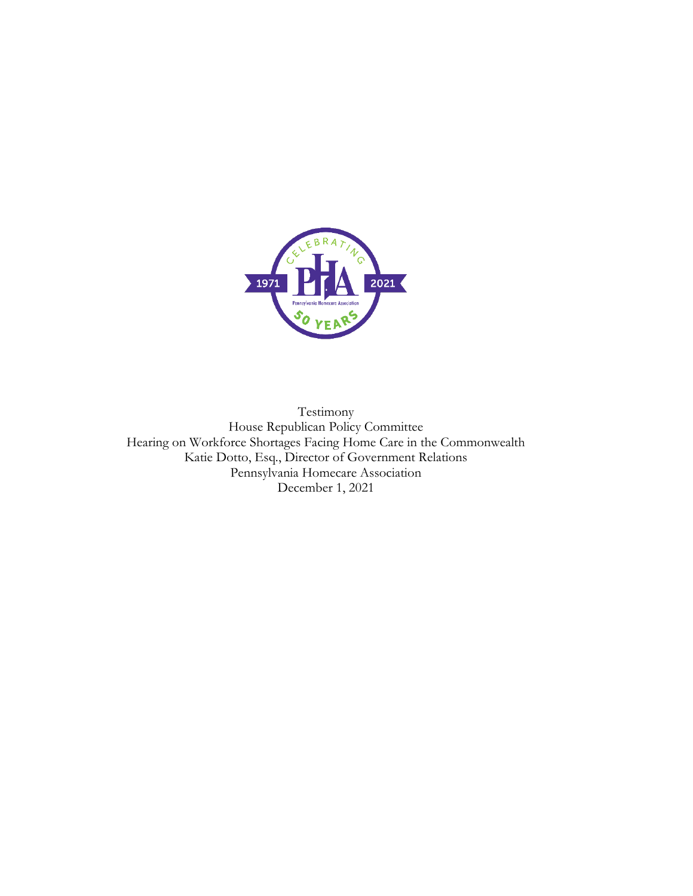

Testimony House Republican Policy Committee Hearing on Workforce Shortages Facing Home Care in the Commonwealth Katie Dotto, Esq., Director of Government Relations Pennsylvania Homecare Association December 1, 2021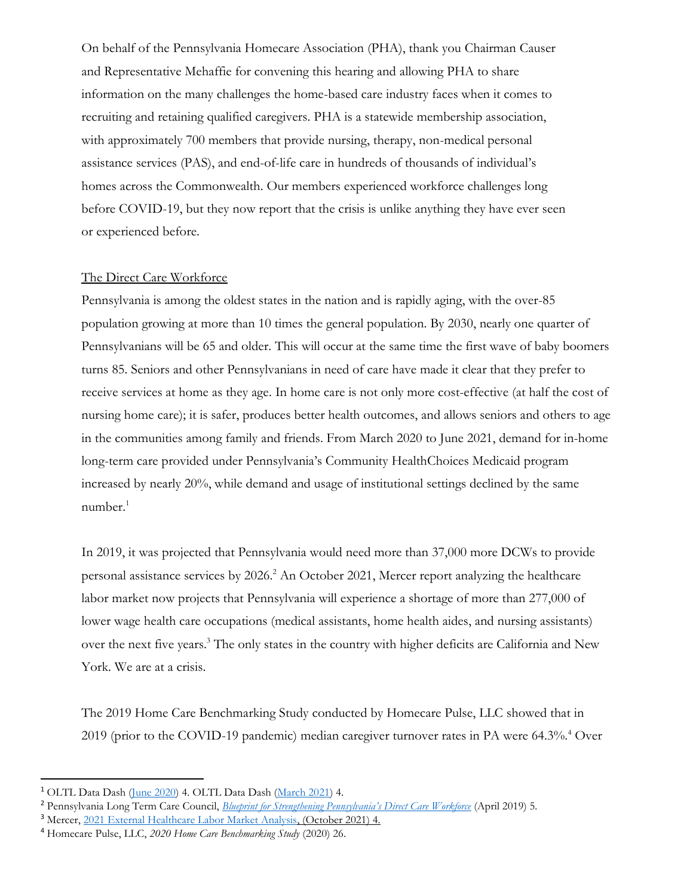On behalf of the Pennsylvania Homecare Association (PHA), thank you Chairman Causer and Representative Mehaffie for convening this hearing and allowing PHA to share information on the many challenges the home-based care industry faces when it comes to recruiting and retaining qualified caregivers. PHA is a statewide membership association, with approximately 700 members that provide nursing, therapy, non-medical personal assistance services (PAS), and end-of-life care in hundreds of thousands of individual's homes across the Commonwealth. Our members experienced workforce challenges long before COVID-19, but they now report that the crisis is unlike anything they have ever seen or experienced before.

## The Direct Care Workforce

Pennsylvania is among the oldest states in the nation and is rapidly aging, with the over-85 population growing at more than 10 times the general population. By 2030, nearly one quarter of Pennsylvanians will be 65 and older. This will occur at the same time the first wave of baby boomers turns 85. Seniors and other Pennsylvanians in need of care have made it clear that they prefer to receive services at home as they age. In home care is not only more cost-effective (at half the cost of nursing home care); it is safer, produces better health outcomes, and allows seniors and others to age in the communities among family and friends. From March 2020 to June 2021, demand for in-home long-term care provided under Pennsylvania's Community HealthChoices Medicaid program increased by nearly 20%, while demand and usage of institutional settings declined by the same  $number.<sup>1</sup>$ 

In 2019, it was projected that Pennsylvania would need more than 37,000 more DCWs to provide personal assistance services by 2026.<sup>2</sup> An October 2021, Mercer report analyzing the healthcare labor market now projects that Pennsylvania will experience a shortage of more than 277,000 of lower wage health care occupations (medical assistants, home health aides, and nursing assistants) over the next five years.<sup>3</sup> The only states in the country with higher deficits are California and New York. We are at a crisis.

The 2019 Home Care Benchmarking Study conducted by Homecare Pulse, LLC showed that in 2019 (prior to the COVID-19 pandemic) median caregiver turnover rates in PA were 64.3%.<sup>4</sup> Over

<sup>1</sup> OLTL Data Dash [\(June 2020\)](https://www.dhs.pa.gov/about/Documents/Data%20Brief%20Issue%202.1%20June%202020%20-%20May%20Data-%20Final.pdf) 4. OLTL Data Dash [\(March 2021\)](https://www.dhs.pa.gov/Documents/About%20US/Data%20Dashboards/2021-02%20Data%20Brief%20Published%20Mar%202021%20for%20Feb%20Data%20Working.pdf) 4.

<sup>2</sup> Pennsylvania Long Term Care Council, *[Blueprint for Strengthening Pennsylvania's Direct Care Workforce](https://www.aging.pa.gov/organization/PennsylvaniaLongTermCareCouncil/Documents/Reports/LTCC_Blueprint%20for%20Strengthening%20Pennsylvania%E2%80%99s%20Direct%20Care%20Workforce_April2019.pdf)* (April 2019) 5*.* 

<sup>3</sup> Mercer[, 2021 External Healthcare Labor Market Analysis,](https://www.mercer.us/content/dam/mercer/assets/content-images/north-america/united-states/us-healthcare-news/us-2021-healthcare-labor-market-whitepaper.pdf) (October 2021) 4.

<sup>4</sup> Homecare Pulse, LLC, *2020 Home Care Benchmarking Study* (2020) 26.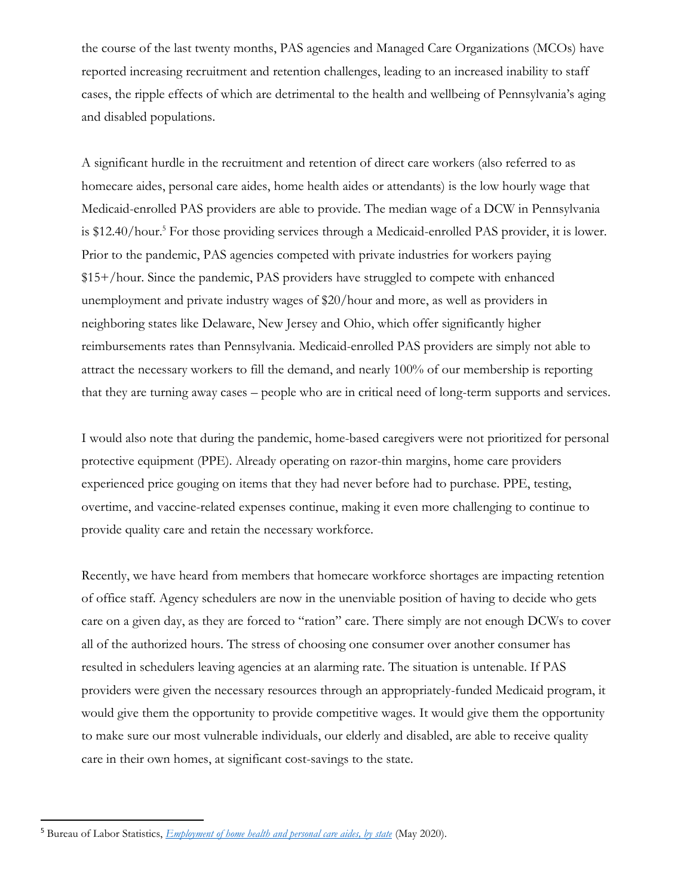the course of the last twenty months, PAS agencies and Managed Care Organizations (MCOs) have reported increasing recruitment and retention challenges, leading to an increased inability to staff cases, the ripple effects of which are detrimental to the health and wellbeing of Pennsylvania's aging and disabled populations.

A significant hurdle in the recruitment and retention of direct care workers (also referred to as homecare aides, personal care aides, home health aides or attendants) is the low hourly wage that Medicaid-enrolled PAS providers are able to provide. The median wage of a DCW in Pennsylvania is \$12.40/hour.<sup>5</sup> For those providing services through a Medicaid-enrolled PAS provider, it is lower. Prior to the pandemic, PAS agencies competed with private industries for workers paying \$15+/hour. Since the pandemic, PAS providers have struggled to compete with enhanced unemployment and private industry wages of \$20/hour and more, as well as providers in neighboring states like Delaware, New Jersey and Ohio, which offer significantly higher reimbursements rates than Pennsylvania. Medicaid-enrolled PAS providers are simply not able to attract the necessary workers to fill the demand, and nearly 100% of our membership is reporting that they are turning away cases – people who are in critical need of long-term supports and services.

I would also note that during the pandemic, home-based caregivers were not prioritized for personal protective equipment (PPE). Already operating on razor-thin margins, home care providers experienced price gouging on items that they had never before had to purchase. PPE, testing, overtime, and vaccine-related expenses continue, making it even more challenging to continue to provide quality care and retain the necessary workforce.

Recently, we have heard from members that homecare workforce shortages are impacting retention of office staff. Agency schedulers are now in the unenviable position of having to decide who gets care on a given day, as they are forced to "ration" care. There simply are not enough DCWs to cover all of the authorized hours. The stress of choosing one consumer over another consumer has resulted in schedulers leaving agencies at an alarming rate. The situation is untenable. If PAS providers were given the necessary resources through an appropriately-funded Medicaid program, it would give them the opportunity to provide competitive wages. It would give them the opportunity to make sure our most vulnerable individuals, our elderly and disabled, are able to receive quality care in their own homes, at significant cost-savings to the state.

<sup>5</sup> Bureau of Labor Statistics, *[Employment of home health and personal care aides, by state](https://www.bls.gov/oes/current/oes311120.htm#st)* (May 2020).